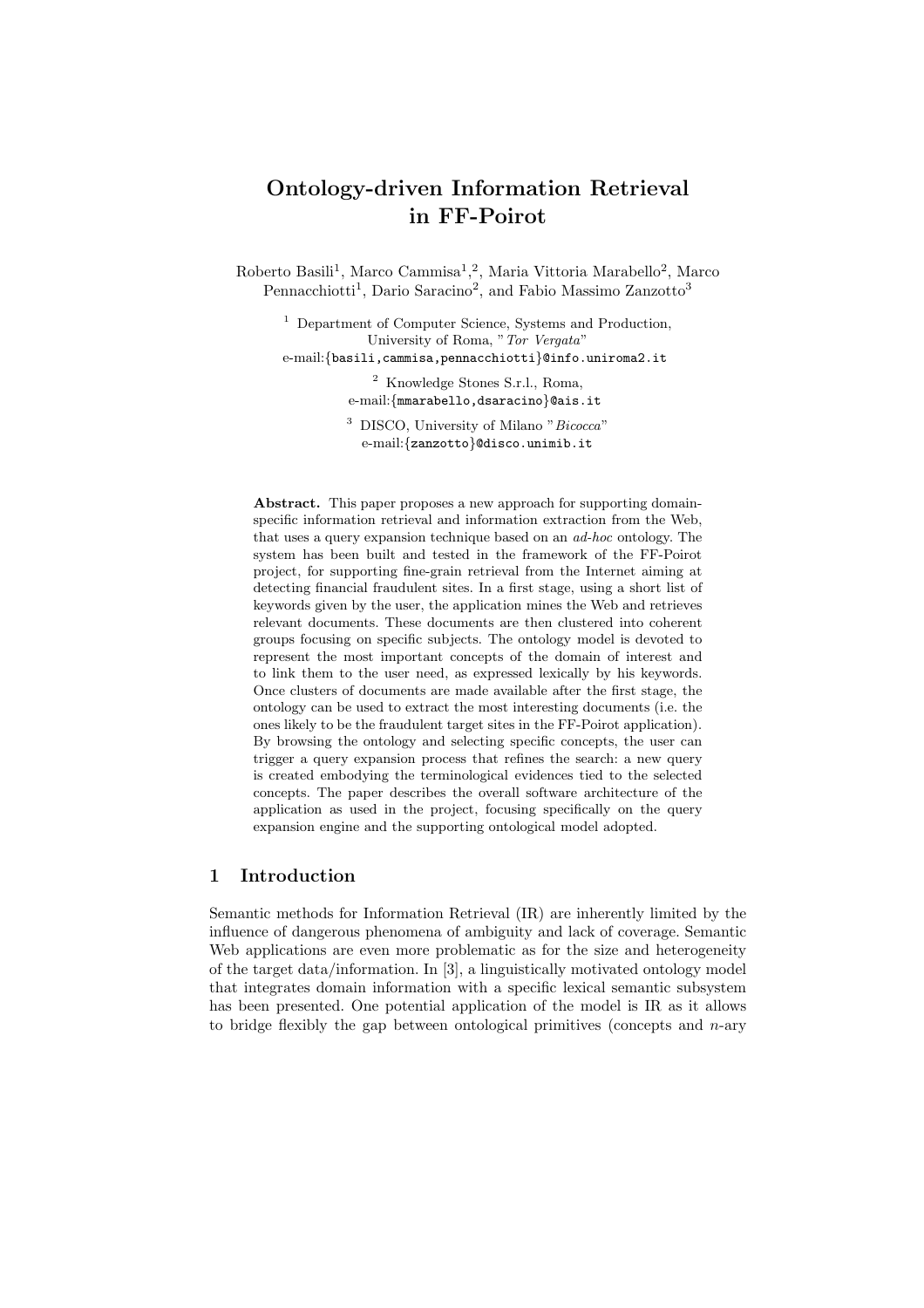# **Ontology-driven Information Retrieval in FF-Poirot**

Roberto Basili<sup>1</sup>, Marco Cammisa<sup>1</sup>,<sup>2</sup>, Maria Vittoria Marabello<sup>2</sup>, Marco Pennacchiotti<sup>1</sup>, Dario Saracino<sup>2</sup>, and Fabio Massimo Zanzotto<sup>3</sup>

<sup>1</sup> Department of Computer Science, Systems and Production, University of Roma, "*Tor Vergata*" e-mail:*{*basili,cammisa,pennacchiotti*}*@info.uniroma2.it

> <sup>2</sup> Knowledge Stones S.r.l., Roma, e-mail:*{*mmarabello,dsaracino*}*@ais.it

<sup>3</sup> DISCO, University of Milano "*Bicocca*" e-mail:*{*zanzotto*}*@disco.unimib.it

**Abstract.** This paper proposes a new approach for supporting domainspecific information retrieval and information extraction from the Web, that uses a query expansion technique based on an *ad-hoc* ontology. The system has been built and tested in the framework of the FF-Poirot project, for supporting fine-grain retrieval from the Internet aiming at detecting financial fraudulent sites. In a first stage, using a short list of keywords given by the user, the application mines the Web and retrieves relevant documents. These documents are then clustered into coherent groups focusing on specific subjects. The ontology model is devoted to represent the most important concepts of the domain of interest and to link them to the user need, as expressed lexically by his keywords. Once clusters of documents are made available after the first stage, the ontology can be used to extract the most interesting documents (i.e. the ones likely to be the fraudulent target sites in the FF-Poirot application). By browsing the ontology and selecting specific concepts, the user can trigger a query expansion process that refines the search: a new query is created embodying the terminological evidences tied to the selected concepts. The paper describes the overall software architecture of the application as used in the project, focusing specifically on the query expansion engine and the supporting ontological model adopted.

### **1 Introduction**

Semantic methods for Information Retrieval (IR) are inherently limited by the influence of dangerous phenomena of ambiguity and lack of coverage. Semantic Web applications are even more problematic as for the size and heterogeneity of the target data/information. In [3], a linguistically motivated ontology model that integrates domain information with a specific lexical semantic subsystem has been presented. One potential application of the model is IR as it allows to bridge flexibly the gap between ontological primitives (concepts and *n*-ary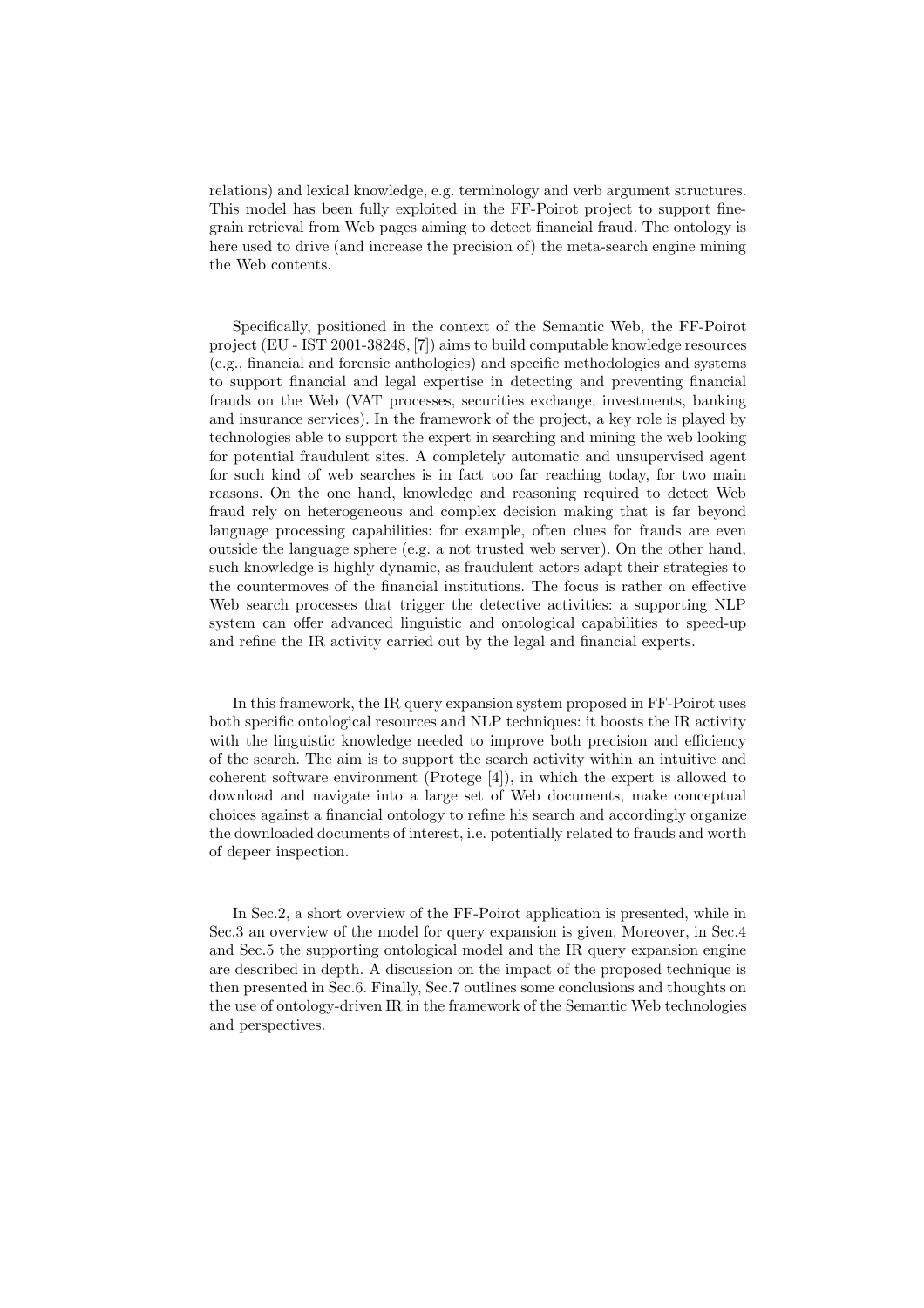relations) and lexical knowledge, e.g. terminology and verb argument structures. This model has been fully exploited in the FF-Poirot project to support finegrain retrieval from Web pages aiming to detect financial fraud. The ontology is here used to drive (and increase the precision of) the meta-search engine mining the Web contents.

Specifically, positioned in the context of the Semantic Web, the FF-Poirot project (EU - IST 2001-38248, [7]) aims to build computable knowledge resources (e.g., financial and forensic anthologies) and specific methodologies and systems to support financial and legal expertise in detecting and preventing financial frauds on the Web (VAT processes, securities exchange, investments, banking and insurance services). In the framework of the project, a key role is played by technologies able to support the expert in searching and mining the web looking for potential fraudulent sites. A completely automatic and unsupervised agent for such kind of web searches is in fact too far reaching today, for two main reasons. On the one hand, knowledge and reasoning required to detect Web fraud rely on heterogeneous and complex decision making that is far beyond language processing capabilities: for example, often clues for frauds are even outside the language sphere (e.g. a not trusted web server). On the other hand, such knowledge is highly dynamic, as fraudulent actors adapt their strategies to the countermoves of the financial institutions. The focus is rather on effective Web search processes that trigger the detective activities: a supporting NLP system can offer advanced linguistic and ontological capabilities to speed-up and refine the IR activity carried out by the legal and financial experts.

In this framework, the IR query expansion system proposed in FF-Poirot uses both specific ontological resources and NLP techniques: it boosts the IR activity with the linguistic knowledge needed to improve both precision and efficiency of the search. The aim is to support the search activity within an intuitive and coherent software environment (Protege [4]), in which the expert is allowed to download and navigate into a large set of Web documents, make conceptual choices against a financial ontology to refine his search and accordingly organize the downloaded documents of interest, i.e. potentially related to frauds and worth of depeer inspection.

In Sec.2, a short overview of the FF-Poirot application is presented, while in Sec.3 an overview of the model for query expansion is given. Moreover, in Sec.4 and Sec.5 the supporting ontological model and the IR query expansion engine are described in depth. A discussion on the impact of the proposed technique is then presented in Sec.6. Finally, Sec.7 outlines some conclusions and thoughts on the use of ontology-driven IR in the framework of the Semantic Web technologies and perspectives.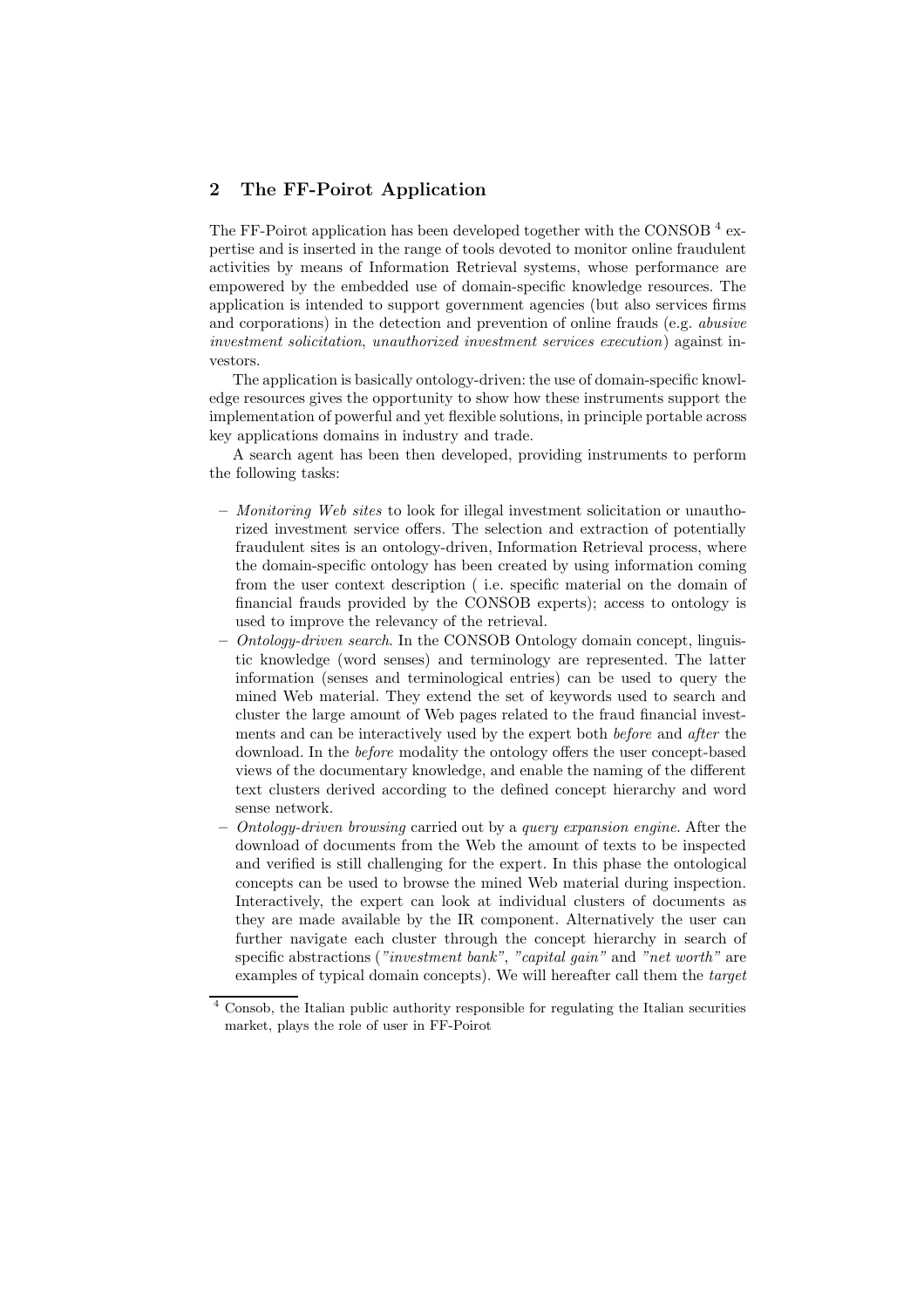### **2 The FF-Poirot Application**

The FF-Poirot application has been developed together with the CONSOB  $^4$  expertise and is inserted in the range of tools devoted to monitor online fraudulent activities by means of Information Retrieval systems, whose performance are empowered by the embedded use of domain-specific knowledge resources. The application is intended to support government agencies (but also services firms and corporations) in the detection and prevention of online frauds (e.g. *abusive investment solicitation*, *unauthorized investment services execution*) against investors.

The application is basically ontology-driven: the use of domain-specific knowledge resources gives the opportunity to show how these instruments support the implementation of powerful and yet flexible solutions, in principle portable across key applications domains in industry and trade.

A search agent has been then developed, providing instruments to perform the following tasks:

- **–** *Monitoring Web sites* to look for illegal investment solicitation or unauthorized investment service offers. The selection and extraction of potentially fraudulent sites is an ontology-driven, Information Retrieval process, where the domain-specific ontology has been created by using information coming from the user context description ( i.e. specific material on the domain of financial frauds provided by the CONSOB experts); access to ontology is used to improve the relevancy of the retrieval.
- **–** *Ontology-driven search*. In the CONSOB Ontology domain concept, linguistic knowledge (word senses) and terminology are represented. The latter information (senses and terminological entries) can be used to query the mined Web material. They extend the set of keywords used to search and cluster the large amount of Web pages related to the fraud financial investments and can be interactively used by the expert both *before* and *after* the download. In the *before* modality the ontology offers the user concept-based views of the documentary knowledge, and enable the naming of the different text clusters derived according to the defined concept hierarchy and word sense network.
- **–** *Ontology-driven browsing* carried out by a *query expansion engine*. After the download of documents from the Web the amount of texts to be inspected and verified is still challenging for the expert. In this phase the ontological concepts can be used to browse the mined Web material during inspection. Interactively, the expert can look at individual clusters of documents as they are made available by the IR component. Alternatively the user can further navigate each cluster through the concept hierarchy in search of specific abstractions (*"investment bank"*, *"capital gain"* and *"net worth"* are examples of typical domain concepts). We will hereafter call them the *target*

<sup>4</sup> Consob, the Italian public authority responsible for regulating the Italian securities market, plays the role of user in FF-Poirot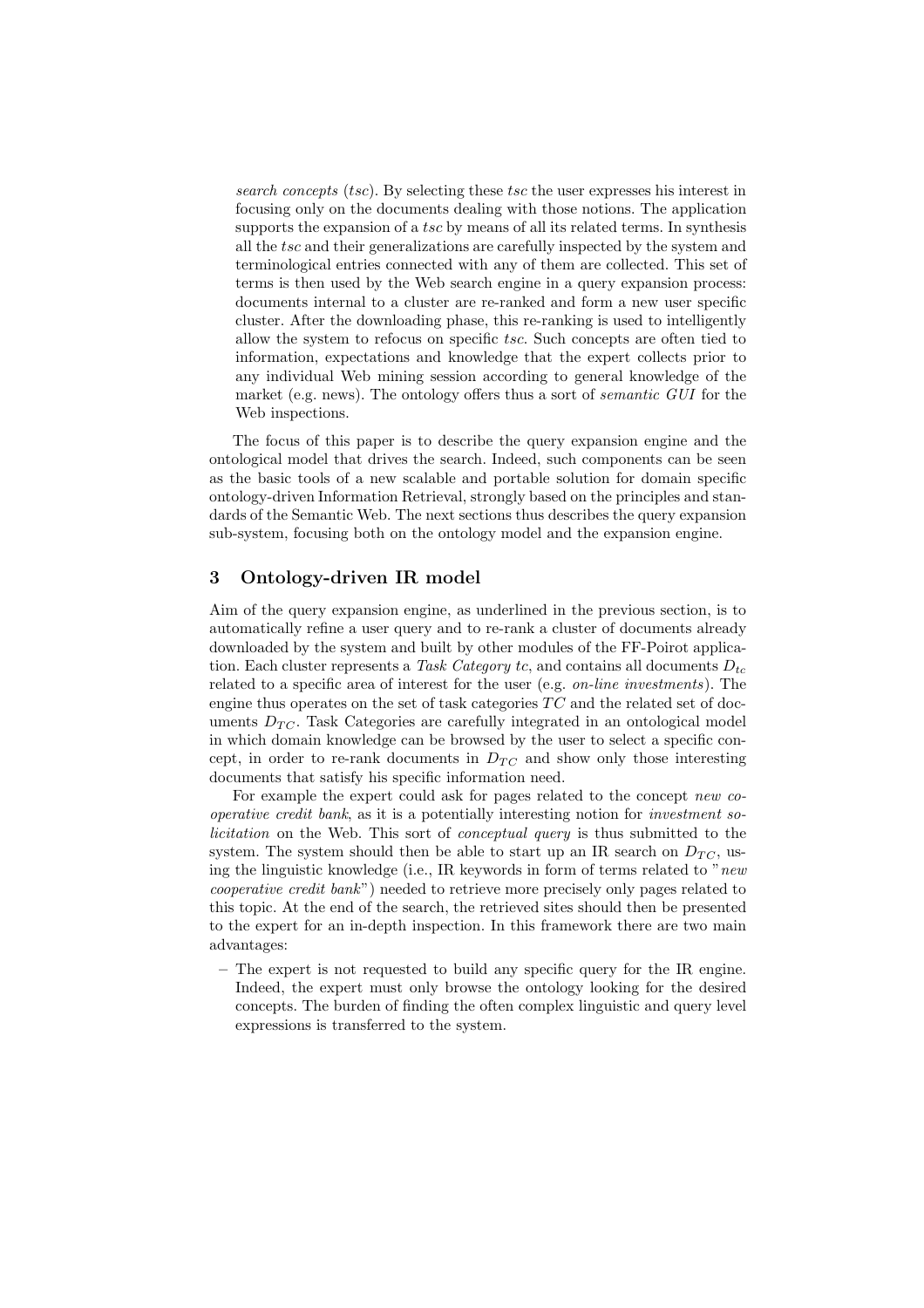*search concepts* (*tsc*). By selecting these *tsc* the user expresses his interest in focusing only on the documents dealing with those notions. The application supports the expansion of a *tsc* by means of all its related terms. In synthesis all the *tsc* and their generalizations are carefully inspected by the system and terminological entries connected with any of them are collected. This set of terms is then used by the Web search engine in a query expansion process: documents internal to a cluster are re-ranked and form a new user specific cluster. After the downloading phase, this re-ranking is used to intelligently allow the system to refocus on specific *tsc*. Such concepts are often tied to information, expectations and knowledge that the expert collects prior to any individual Web mining session according to general knowledge of the market (e.g. news). The ontology offers thus a sort of *semantic GUI* for the Web inspections.

The focus of this paper is to describe the query expansion engine and the ontological model that drives the search. Indeed, such components can be seen as the basic tools of a new scalable and portable solution for domain specific ontology-driven Information Retrieval, strongly based on the principles and standards of the Semantic Web. The next sections thus describes the query expansion sub-system, focusing both on the ontology model and the expansion engine.

### **3 Ontology-driven IR model**

Aim of the query expansion engine, as underlined in the previous section, is to automatically refine a user query and to re-rank a cluster of documents already downloaded by the system and built by other modules of the FF-Poirot application. Each cluster represents a *Task Category tc*, and contains all documents *Dtc* related to a specific area of interest for the user (e.g. *on-line investments*). The engine thus operates on the set of task categories  $TC$  and the related set of documents  $D_{TC}$ . Task Categories are carefully integrated in an ontological model in which domain knowledge can be browsed by the user to select a specific concept, in order to re-rank documents in  $D_{TC}$  and show only those interesting documents that satisfy his specific information need.

For example the expert could ask for pages related to the concept *new cooperative credit bank*, as it is a potentially interesting notion for *investment solicitation* on the Web. This sort of *conceptual query* is thus submitted to the system. The system should then be able to start up an IR search on  $D_{TC}$ , using the linguistic knowledge (i.e., IR keywords in form of terms related to "*new cooperative credit bank*") needed to retrieve more precisely only pages related to this topic. At the end of the search, the retrieved sites should then be presented to the expert for an in-depth inspection. In this framework there are two main advantages:

**–** The expert is not requested to build any specific query for the IR engine. Indeed, the expert must only browse the ontology looking for the desired concepts. The burden of finding the often complex linguistic and query level expressions is transferred to the system.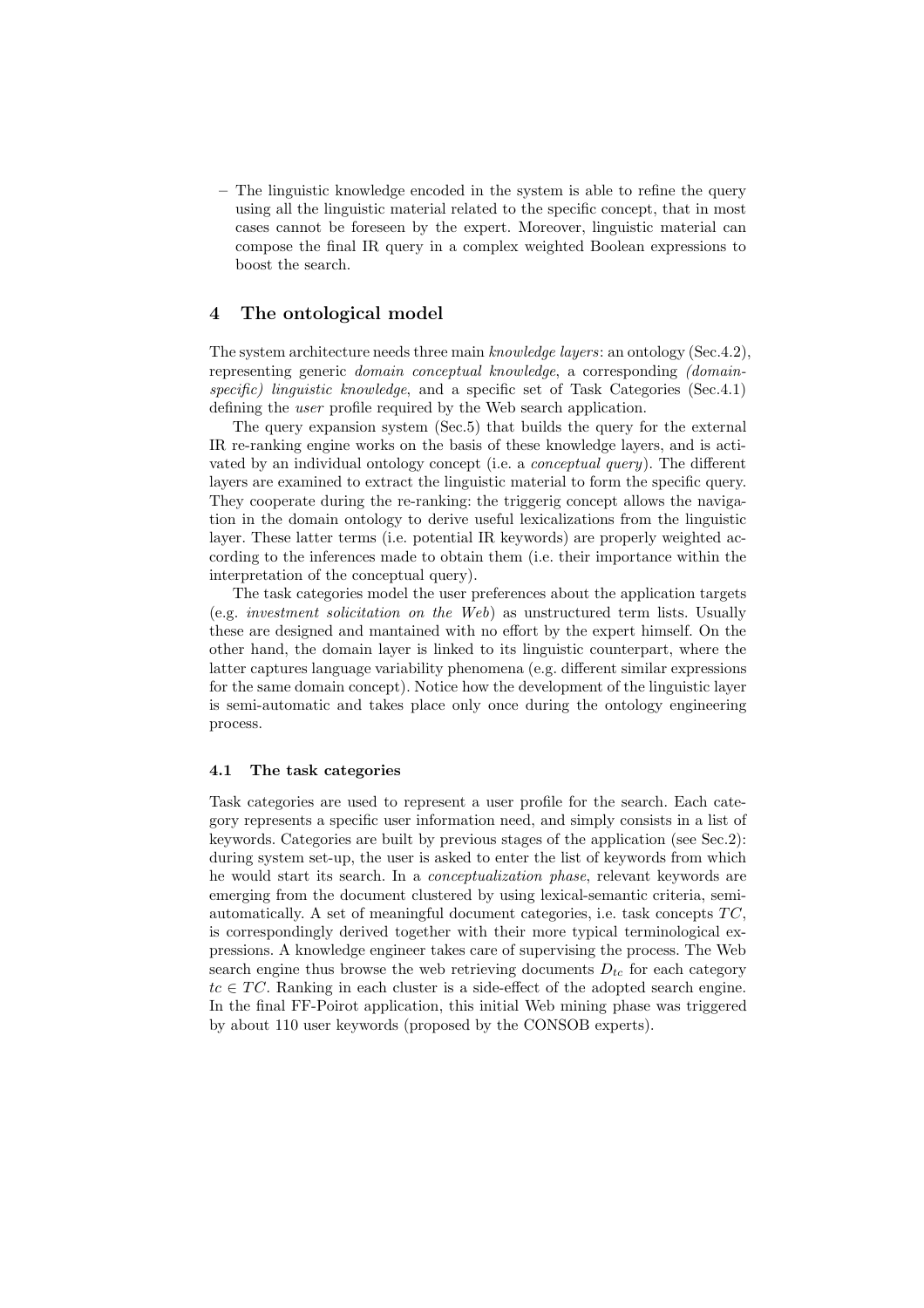**–** The linguistic knowledge encoded in the system is able to refine the query using all the linguistic material related to the specific concept, that in most cases cannot be foreseen by the expert. Moreover, linguistic material can compose the final IR query in a complex weighted Boolean expressions to boost the search.

### **4 The ontological model**

The system architecture needs three main *knowledge layers*: an ontology (Sec.4.2), representing generic *domain conceptual knowledge*, a corresponding *(domainspecific) linguistic knowledge*, and a specific set of Task Categories (Sec.4.1) defining the *user* profile required by the Web search application.

The query expansion system (Sec.5) that builds the query for the external IR re-ranking engine works on the basis of these knowledge layers, and is activated by an individual ontology concept (i.e. a *conceptual query*). The different layers are examined to extract the linguistic material to form the specific query. They cooperate during the re-ranking: the triggerig concept allows the navigation in the domain ontology to derive useful lexicalizations from the linguistic layer. These latter terms (i.e. potential IR keywords) are properly weighted according to the inferences made to obtain them (i.e. their importance within the interpretation of the conceptual query).

The task categories model the user preferences about the application targets (e.g. *investment solicitation on the Web*) as unstructured term lists. Usually these are designed and mantained with no effort by the expert himself. On the other hand, the domain layer is linked to its linguistic counterpart, where the latter captures language variability phenomena (e.g. different similar expressions for the same domain concept). Notice how the development of the linguistic layer is semi-automatic and takes place only once during the ontology engineering process.

#### $4.1$ **4.1 The task categories**

Task categories are used to represent a user profile for the search. Each category represents a specific user information need, and simply consists in a list of keywords. Categories are built by previous stages of the application (see Sec.2): during system set-up, the user is asked to enter the list of keywords from which he would start its search. In a *conceptualization phase*, relevant keywords are emerging from the document clustered by using lexical-semantic criteria, semiautomatically. A set of meaningful document categories, i.e. task concepts *T C*, is correspondingly derived together with their more typical terminological expressions. A knowledge engineer takes care of supervising the process. The Web search engine thus browse the web retrieving documents  $D_{tc}$  for each category  $tc \in TC$ . Ranking in each cluster is a side-effect of the adopted search engine. In the final FF-Poirot application, this initial Web mining phase was triggered by about 110 user keywords (proposed by the CONSOB experts).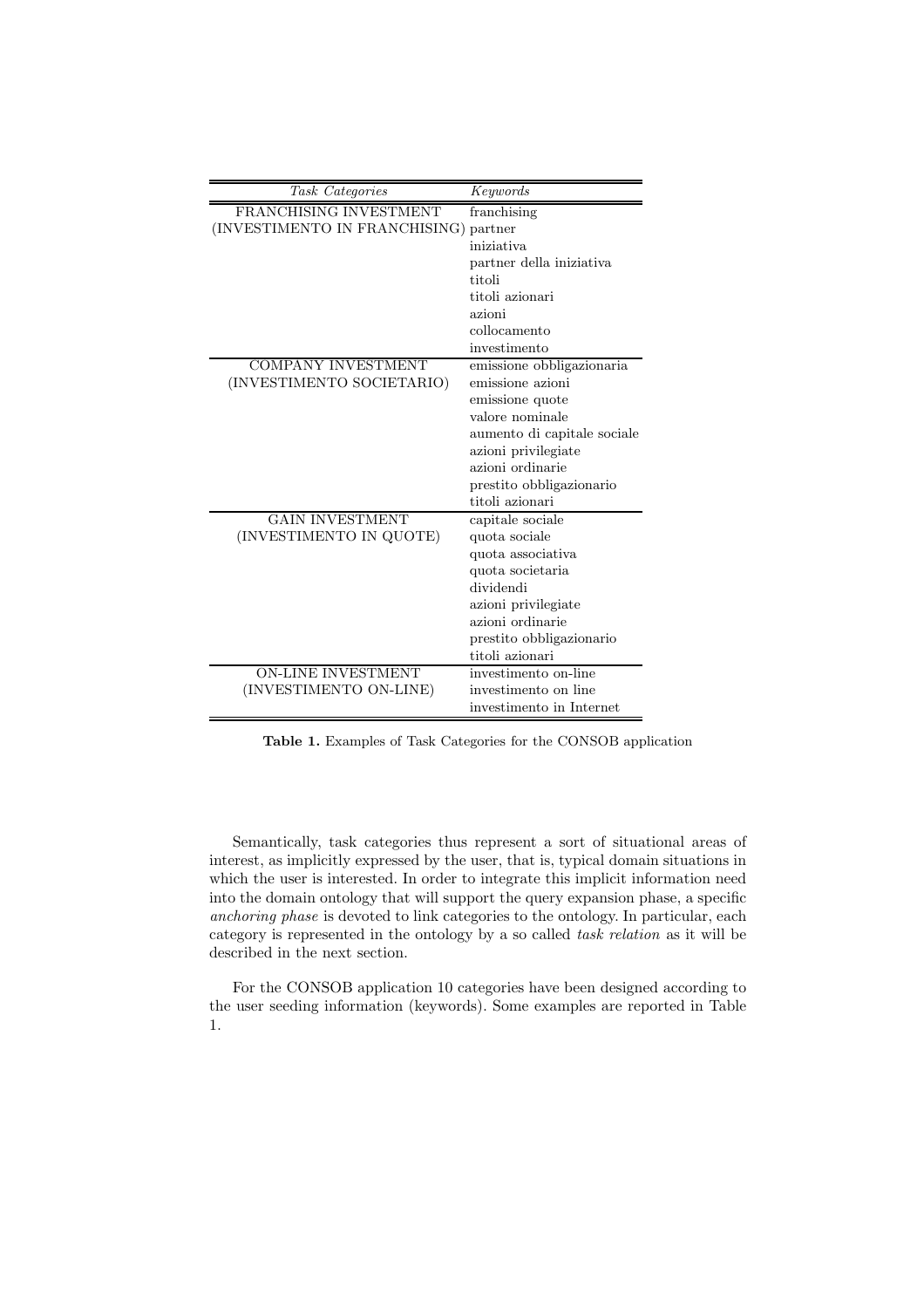| Task Categories                       | Keywords                    |
|---------------------------------------|-----------------------------|
| FRANCHISING INVESTMENT                | franchising                 |
| (INVESTIMENTO IN FRANCHISING) partner |                             |
|                                       | iniziativa                  |
|                                       | partner della iniziativa    |
|                                       | titoli                      |
|                                       | titoli azionari             |
|                                       | azioni                      |
|                                       | collocamento                |
|                                       | investimento                |
| <b>COMPANY INVESTMENT</b>             | emissione obbligazionaria   |
| (INVESTIMENTO SOCIETARIO)             | emissione azioni            |
|                                       | emissione quote             |
|                                       | valore nominale             |
|                                       | aumento di capitale sociale |
|                                       | azioni privilegiate         |
|                                       | azioni ordinarie            |
|                                       | prestito obbligazionario    |
|                                       | titoli azionari             |
| <b>GAIN INVESTMENT</b>                | capitale sociale            |
| (INVESTIMENTO IN QUOTE)               | quota sociale               |
|                                       | quota associativa           |
|                                       | quota societaria            |
|                                       | dividendi                   |
|                                       | azioni privilegiate         |
|                                       | azioni ordinarie            |
|                                       | prestito obbligazionario    |
|                                       | titoli azionari             |
| <b>ON-LINE INVESTMENT</b>             | investimento on-line        |
| (INVESTIMENTO ON-LINE)                | investimento on line        |
|                                       | investimento in Internet    |

**Table 1.** Examples of Task Categories for the CONSOB application

Semantically, task categories thus represent a sort of situational areas of interest, as implicitly expressed by the user, that is, typical domain situations in which the user is interested. In order to integrate this implicit information need into the domain ontology that will support the query expansion phase, a specific *anchoring phase* is devoted to link categories to the ontology. In particular, each category is represented in the ontology by a so called *task relation* as it will be described in the next section.

For the CONSOB application 10 categories have been designed according to the user seeding information (keywords). Some examples are reported in Table 1.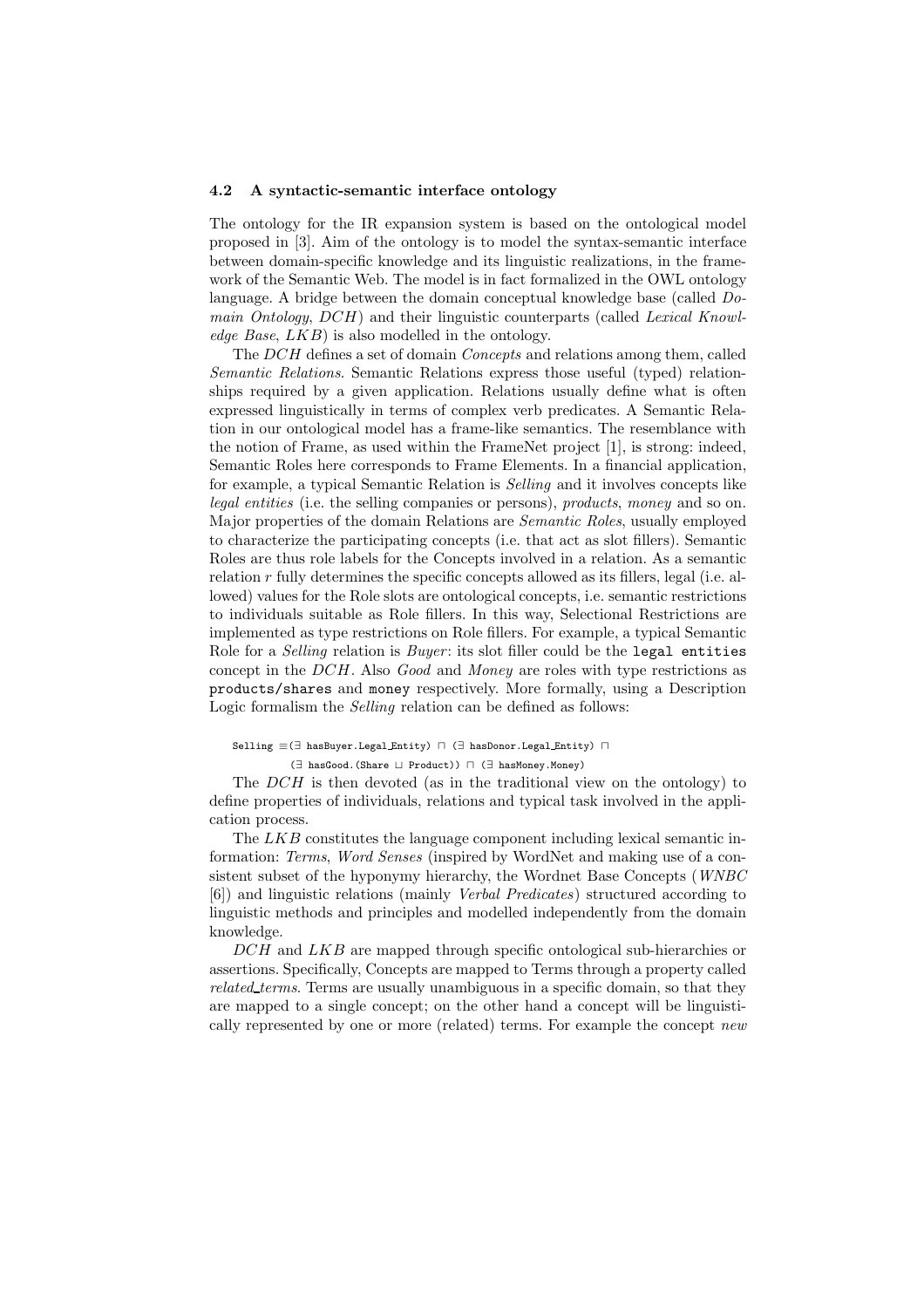#### **4.2 A syntactic-semantic interface ontology**

The ontology for the IR expansion system is based on the ontological model proposed in [3]. Aim of the ontology is to model the syntax-semantic interface between domain-specific knowledge and its linguistic realizations, in the framework of the Semantic Web. The model is in fact formalized in the OWL ontology language. A bridge between the domain conceptual knowledge base (called *Domain Ontology*, *DCH*) and their linguistic counterparts (called *Lexical Knowledge Base*, *LKB*) is also modelled in the ontology.

The *DCH* defines a set of domain *Concepts* and relations among them, called *Semantic Relations*. Semantic Relations express those useful (typed) relationships required by a given application. Relations usually define what is often expressed linguistically in terms of complex verb predicates. A Semantic Relation in our ontological model has a frame-like semantics. The resemblance with the notion of Frame, as used within the FrameNet project [1], is strong: indeed, Semantic Roles here corresponds to Frame Elements. In a financial application, for example, a typical Semantic Relation is *Selling* and it involves concepts like *legal entities* (i.e. the selling companies or persons), *products*, *money* and so on. Major properties of the domain Relations are *Semantic Roles*, usually employed to characterize the participating concepts (i.e. that act as slot fillers). Semantic Roles are thus role labels for the Concepts involved in a relation. As a semantic relation *r* fully determines the specific concepts allowed as its fillers, legal (i.e. allowed) values for the Role slots are ontological concepts, i.e. semantic restrictions to individuals suitable as Role fillers. In this way, Selectional Restrictions are implemented as type restrictions on Role fillers. For example, a typical Semantic Role for a *Selling* relation is *Buyer* : its slot filler could be the legal entities concept in the *DCH*. Also *Good* and *Money* are roles with type restrictions as products/shares and money respectively. More formally, using a Description Logic formalism the *Selling* relation can be defined as follows:

### Selling  $\equiv$ ( $\exists$  hasBuyer.Legal Entity)  $\Box$  ( $\exists$  hasDonor.Legal Entity)  $\Box$

(∃ hasGood.(Share Product)) (∃ hasMoney.Money)

The *DCH* is then devoted (as in the traditional view on the ontology) to define properties of individuals, relations and typical task involved in the application process.

The *LKB* constitutes the language component including lexical semantic information: *Terms*, *Word Senses* (inspired by WordNet and making use of a consistent subset of the hyponymy hierarchy, the Wordnet Base Concepts (*WNBC* [6]) and linguistic relations (mainly *Verbal Predicates*) structured according to linguistic methods and principles and modelled independently from the domain knowledge.

*DCH* and *LKB* are mapped through specific ontological sub-hierarchies or assertions. Specifically, Concepts are mapped to Terms through a property called *related terms*. Terms are usually unambiguous in a specific domain, so that they are mapped to a single concept; on the other hand a concept will be linguistically represented by one or more (related) terms. For example the concept *new*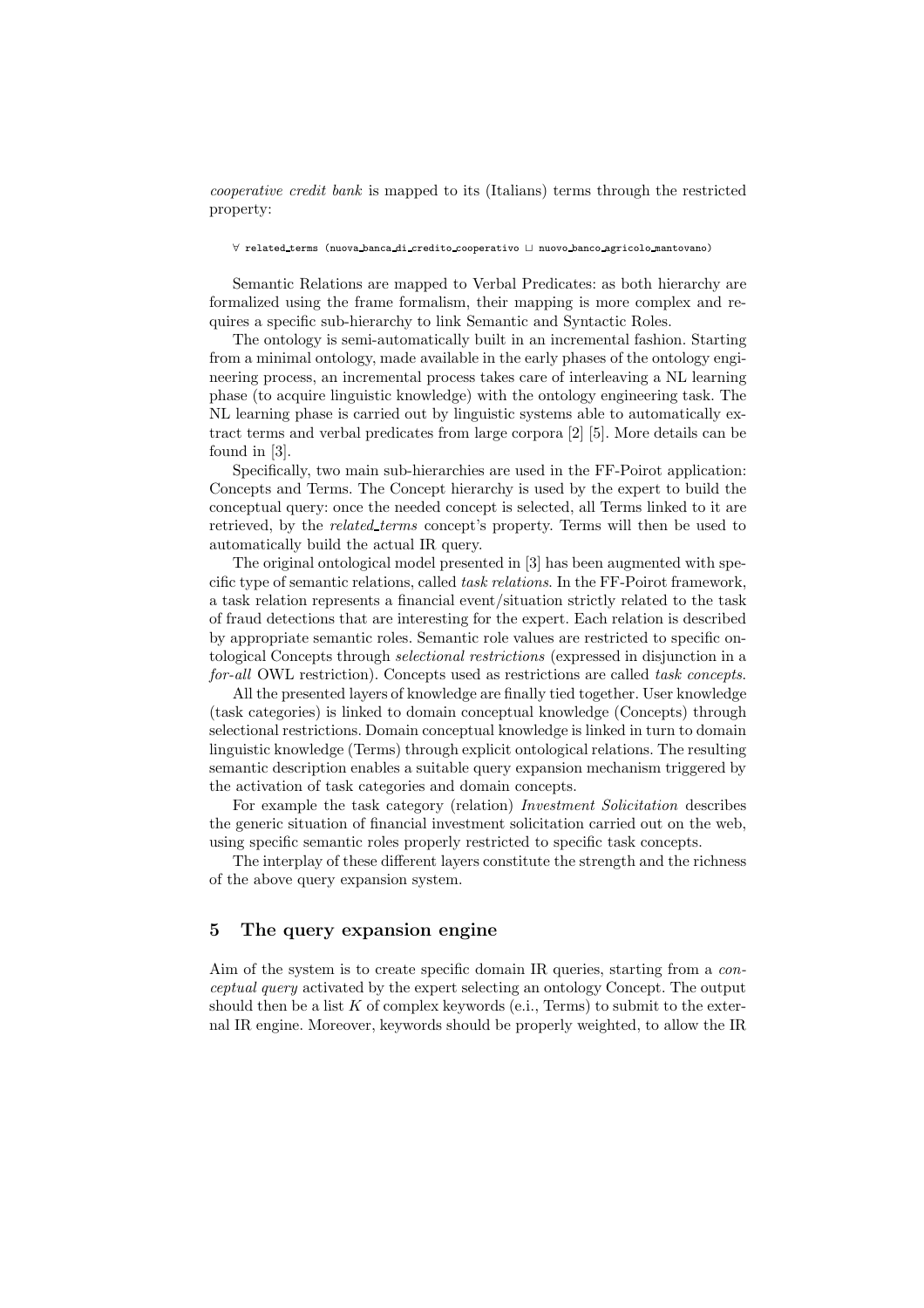*cooperative credit bank* is mapped to its (Italians) terms through the restricted property:

#### ∀ related terms (nuova banca di credito cooperativo nuovo banco agricolo mantovano)

Semantic Relations are mapped to Verbal Predicates: as both hierarchy are formalized using the frame formalism, their mapping is more complex and requires a specific sub-hierarchy to link Semantic and Syntactic Roles.

The ontology is semi-automatically built in an incremental fashion. Starting from a minimal ontology, made available in the early phases of the ontology engineering process, an incremental process takes care of interleaving a NL learning phase (to acquire linguistic knowledge) with the ontology engineering task. The NL learning phase is carried out by linguistic systems able to automatically extract terms and verbal predicates from large corpora [2] [5]. More details can be found in [3].

Specifically, two main sub-hierarchies are used in the FF-Poirot application: Concepts and Terms. The Concept hierarchy is used by the expert to build the conceptual query: once the needed concept is selected, all Terms linked to it are retrieved, by the *related terms* concept's property. Terms will then be used to automatically build the actual IR query.

The original ontological model presented in [3] has been augmented with specific type of semantic relations, called *task relations*. In the FF-Poirot framework, a task relation represents a financial event/situation strictly related to the task of fraud detections that are interesting for the expert. Each relation is described by appropriate semantic roles. Semantic role values are restricted to specific ontological Concepts through *selectional restrictions* (expressed in disjunction in a *for-all* OWL restriction). Concepts used as restrictions are called *task concepts*.

All the presented layers of knowledge are finally tied together. User knowledge (task categories) is linked to domain conceptual knowledge (Concepts) through selectional restrictions. Domain conceptual knowledge is linked in turn to domain linguistic knowledge (Terms) through explicit ontological relations. The resulting semantic description enables a suitable query expansion mechanism triggered by the activation of task categories and domain concepts.

For example the task category (relation) *Investment Solicitation* describes the generic situation of financial investment solicitation carried out on the web, using specific semantic roles properly restricted to specific task concepts.

The interplay of these different layers constitute the strength and the richness of the above query expansion system.

### **5 The query expansion engine**

Aim of the system is to create specific domain IR queries, starting from a *conceptual query* activated by the expert selecting an ontology Concept. The output should then be a list  $K$  of complex keywords (e.i., Terms) to submit to the external IR engine. Moreover, keywords should be properly weighted, to allow the IR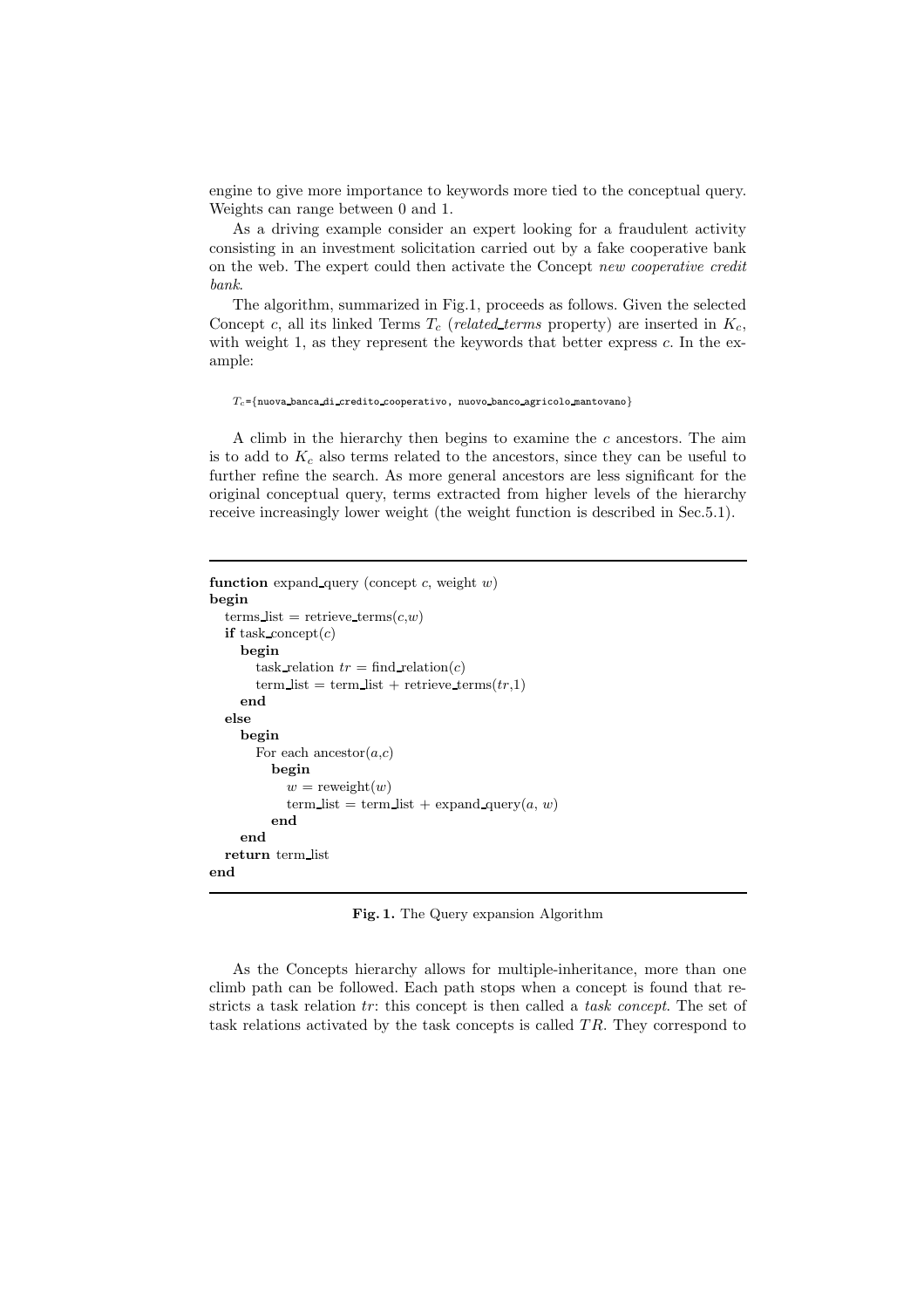engine to give more importance to keywords more tied to the conceptual query. Weights can range between 0 and 1.

As a driving example consider an expert looking for a fraudulent activity consisting in an investment solicitation carried out by a fake cooperative bank on the web. The expert could then activate the Concept *new cooperative credit bank*.

The algorithm, summarized in Fig.1, proceeds as follows. Given the selected Concept *c*, all its linked Terms  $T_c$  (*related terms* property) are inserted in  $K_c$ , with weight 1, as they represent the keywords that better express *c*. In the example:

#### *Tc*={nuova banca di credito cooperativo, nuovo banco agricolo mantovano}

A climb in the hierarchy then begins to examine the *c* ancestors. The aim is to add to  $K_c$  also terms related to the ancestors, since they can be useful to further refine the search. As more general ancestors are less significant for the original conceptual query, terms extracted from higher levels of the hierarchy receive increasingly lower weight (the weight function is described in Sec.5.1).

```
function expand query (concept c, weight w)
begin
  \tanh list = retrieve_terms(c,w)if task_concept(c)begin
       task relation tr = \text{find relation}(c)term list = term list + retrieve terms(tr, 1)end
  else
    begin
       For each ancestor(a, c)begin
            w = \text{reweight}(w)term_list = term_list + expandquery(a, w)end
    end
  return term list
end
```
**Fig. 1.** The Query expansion Algorithm

As the Concepts hierarchy allows for multiple-inheritance, more than one climb path can be followed. Each path stops when a concept is found that restricts a task relation *tr*: this concept is then called a *task concept*. The set of task relations activated by the task concepts is called *T R*. They correspond to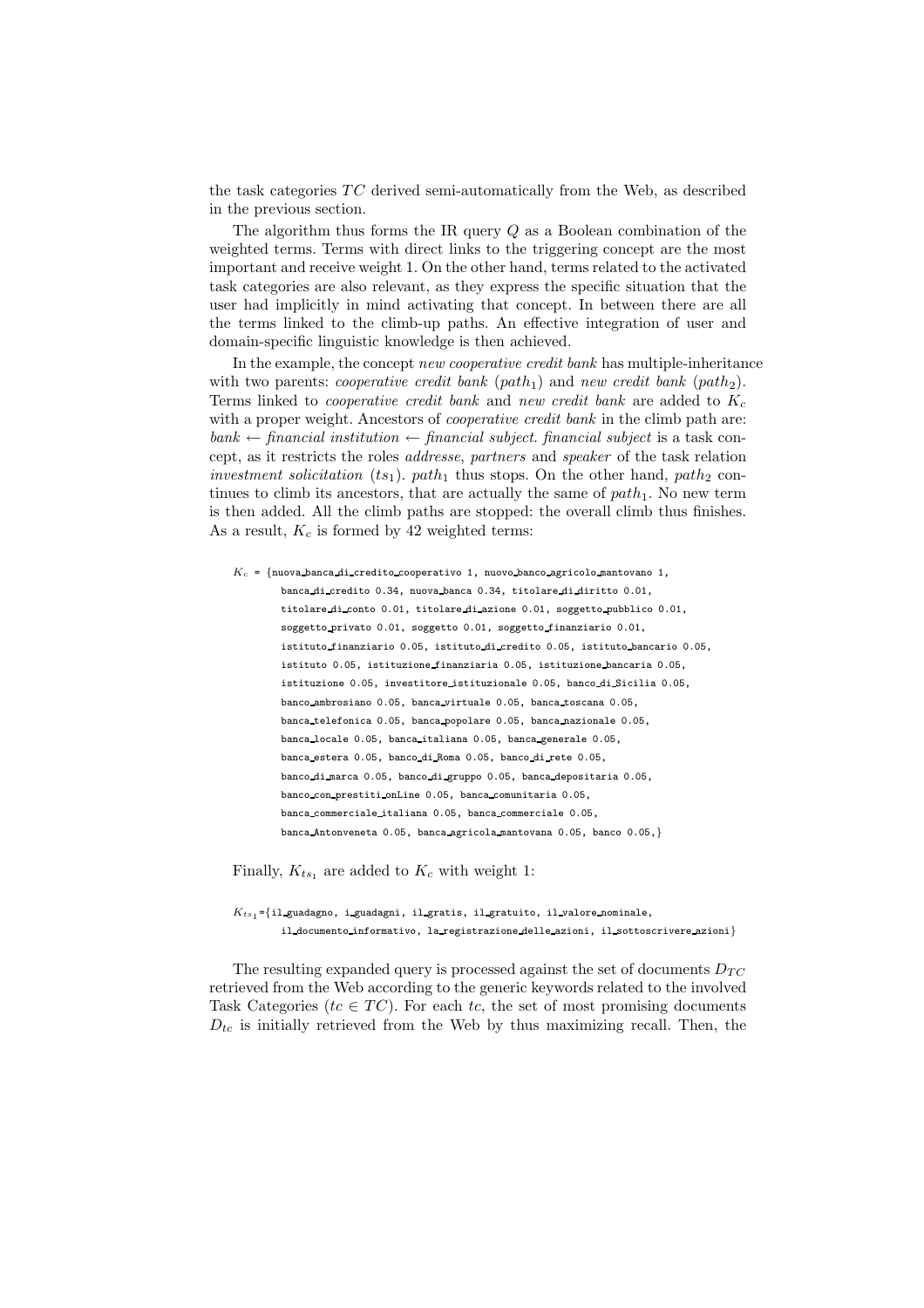the task categories *T C* derived semi-automatically from the Web, as described in the previous section.

The algorithm thus forms the IR query *Q* as a Boolean combination of the weighted terms. Terms with direct links to the triggering concept are the most important and receive weight 1. On the other hand, terms related to the activated task categories are also relevant, as they express the specific situation that the user had implicitly in mind activating that concept. In between there are all the terms linked to the climb-up paths. An effective integration of user and domain-specific linguistic knowledge is then achieved.

In the example, the concept *new cooperative credit bank* has multiple-inheritance with two parents: *cooperative credit bank* (*path*<sub>1</sub>) and *new credit bank* (*path*<sub>2</sub>). Terms linked to *cooperative credit bank* and *new credit bank* are added to *K<sup>c</sup>* with a proper weight. Ancestors of *cooperative credit bank* in the climb path are:  $bank \leftarrow \text{financial institution} \leftarrow \text{financial subject. } \text{financial subject}$  is a task concept, as it restricts the roles *addresse*, *partners* and *speaker* of the task relation *investment solicitation*  $(ts_1)$ .  $path_1$  thus stops. On the other hand,  $path_2$  continues to climb its ancestors, that are actually the same of  $path_1$ . No new term is then added. All the climb paths are stopped: the overall climb thus finishes. As a result, *K<sup>c</sup>* is formed by 42 weighted terms:

 $K_c$  = {nuova banca di credito cooperativo 1, nuovo banco agricolo mantovano 1, banca di credito 0.34, nuova banca 0.34, titolare di diritto 0.01, titolare di conto 0.01, titolare di azione 0.01, soggetto pubblico 0.01, soggetto privato 0.01, soggetto 0.01, soggetto finanziario 0.01, istituto finanziario 0.05, istituto di credito 0.05, istituto bancario 0.05, istituto 0.05, istituzione finanziaria 0.05, istituzione bancaria 0.05, istituzione 0.05, investitore istituzionale 0.05, banco di Sicilia 0.05, banco ambrosiano 0.05, banca virtuale 0.05, banca toscana 0.05, banca telefonica 0.05, banca popolare 0.05, banca nazionale 0.05, banca locale 0.05, banca italiana 0.05, banca generale 0.05, banca estera 0.05, banco di Roma 0.05, banco di rete 0.05, banco di marca 0.05, banco di gruppo 0.05, banca depositaria 0.05, banco con prestiti onLine 0.05, banca comunitaria 0.05, banca commerciale italiana 0.05, banca commerciale 0.05, banca Antonveneta 0.05, banca agricola mantovana 0.05, banco 0.05,}

Finally,  $K_{ts_1}$  are added to  $K_c$  with weight 1:

 $K_{ts}$  ={il guadagno, i guadagni, il gratis, il gratuito, il valore nominale, il documento informativo, la registrazione delle azioni, il sottoscrivere azioni}

The resulting expanded query is processed against the set of documents  $D_{TC}$ retrieved from the Web according to the generic keywords related to the involved Task Categories ( $tc \in TC$ ). For each  $tc$ , the set of most promising documents  $D_{tc}$  is initially retrieved from the Web by thus maximizing recall. Then, the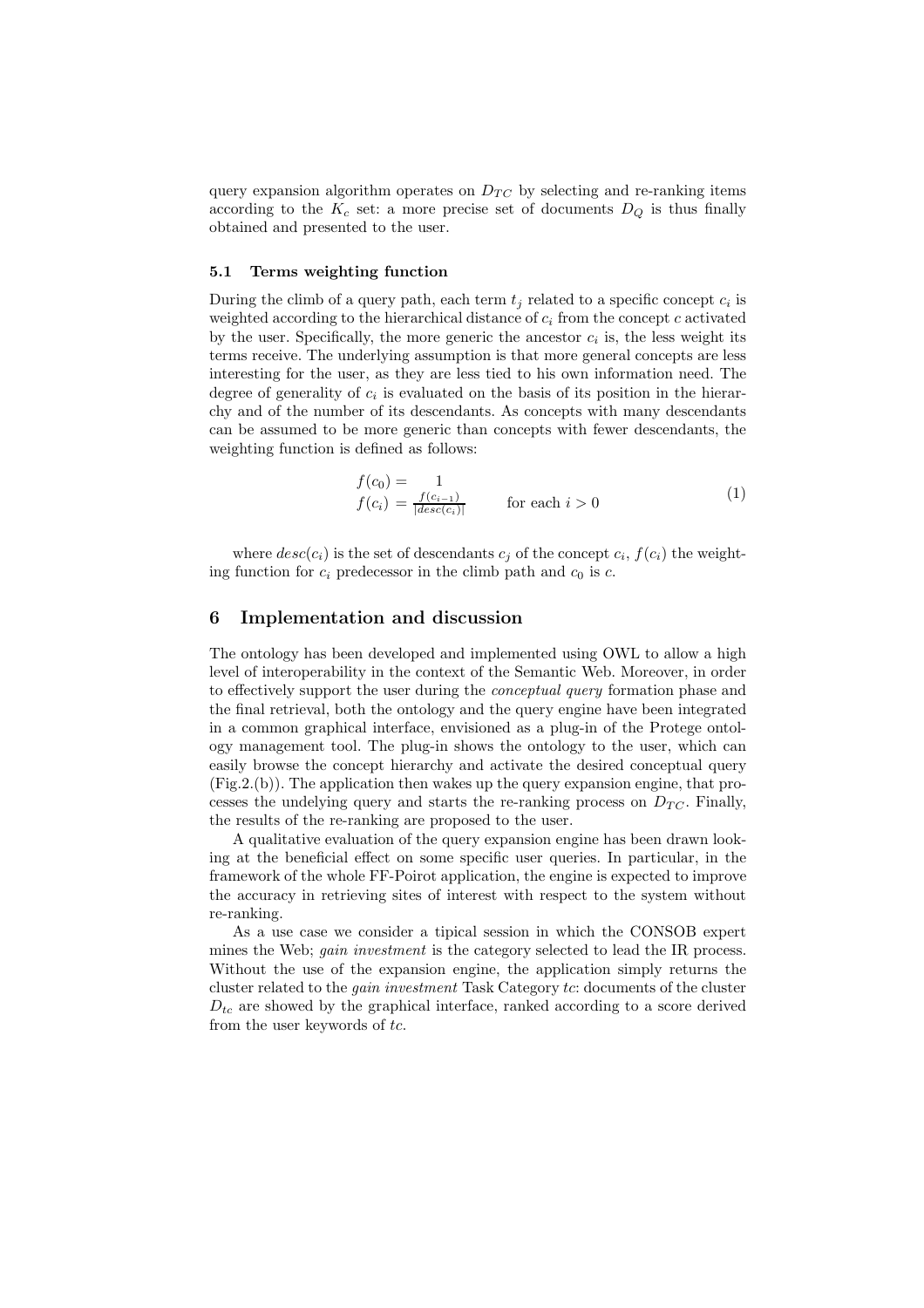query expansion algorithm operates on  $D_{TC}$  by selecting and re-ranking items according to the  $K_c$  set: a more precise set of documents  $D_Q$  is thus finally obtained and presented to the user.

#### $5.1$ **5.1 Terms weighting function**

During the climb of a query path, each term  $t_j$  related to a specific concept  $c_i$  is weighted according to the hierarchical distance of  $c_i$  from the concept  $c$  activated by the user. Specifically, the more generic the ancestor  $c_i$  is, the less weight its terms receive. The underlying assumption is that more general concepts are less interesting for the user, as they are less tied to his own information need. The degree of generality of  $c_i$  is evaluated on the basis of its position in the hierarchy and of the number of its descendants. As concepts with many descendants can be assumed to be more generic than concepts with fewer descendants, the weighting function is defined as follows:

$$
f(c_0) = 1
$$
  
\n
$$
f(c_i) = \frac{f(c_{i-1})}{|desc(c_i)|}
$$
 for each  $i > 0$  (1)

where  $desc(c_i)$  is the set of descendants  $c_i$  of the concept  $c_i$ ,  $f(c_i)$  the weighting function for  $c_i$  predecessor in the climb path and  $c_0$  is  $c$ .

### **6 Implementation and discussion**

The ontology has been developed and implemented using OWL to allow a high level of interoperability in the context of the Semantic Web. Moreover, in order to effectively support the user during the *conceptual query* formation phase and the final retrieval, both the ontology and the query engine have been integrated in a common graphical interface, envisioned as a plug-in of the Protege ontology management tool. The plug-in shows the ontology to the user, which can easily browse the concept hierarchy and activate the desired conceptual query (Fig.2.(b)). The application then wakes up the query expansion engine, that processes the undelying query and starts the re-ranking process on  $D_{TC}$ . Finally, the results of the re-ranking are proposed to the user.

A qualitative evaluation of the query expansion engine has been drawn looking at the beneficial effect on some specific user queries. In particular, in the framework of the whole FF-Poirot application, the engine is expected to improve the accuracy in retrieving sites of interest with respect to the system without re-ranking.

As a use case we consider a tipical session in which the CONSOB expert mines the Web; *gain investment* is the category selected to lead the IR process. Without the use of the expansion engine, the application simply returns the cluster related to the *gain investment* Task Category *tc*: documents of the cluster  $D_{tc}$  are showed by the graphical interface, ranked according to a score derived from the user keywords of *tc*.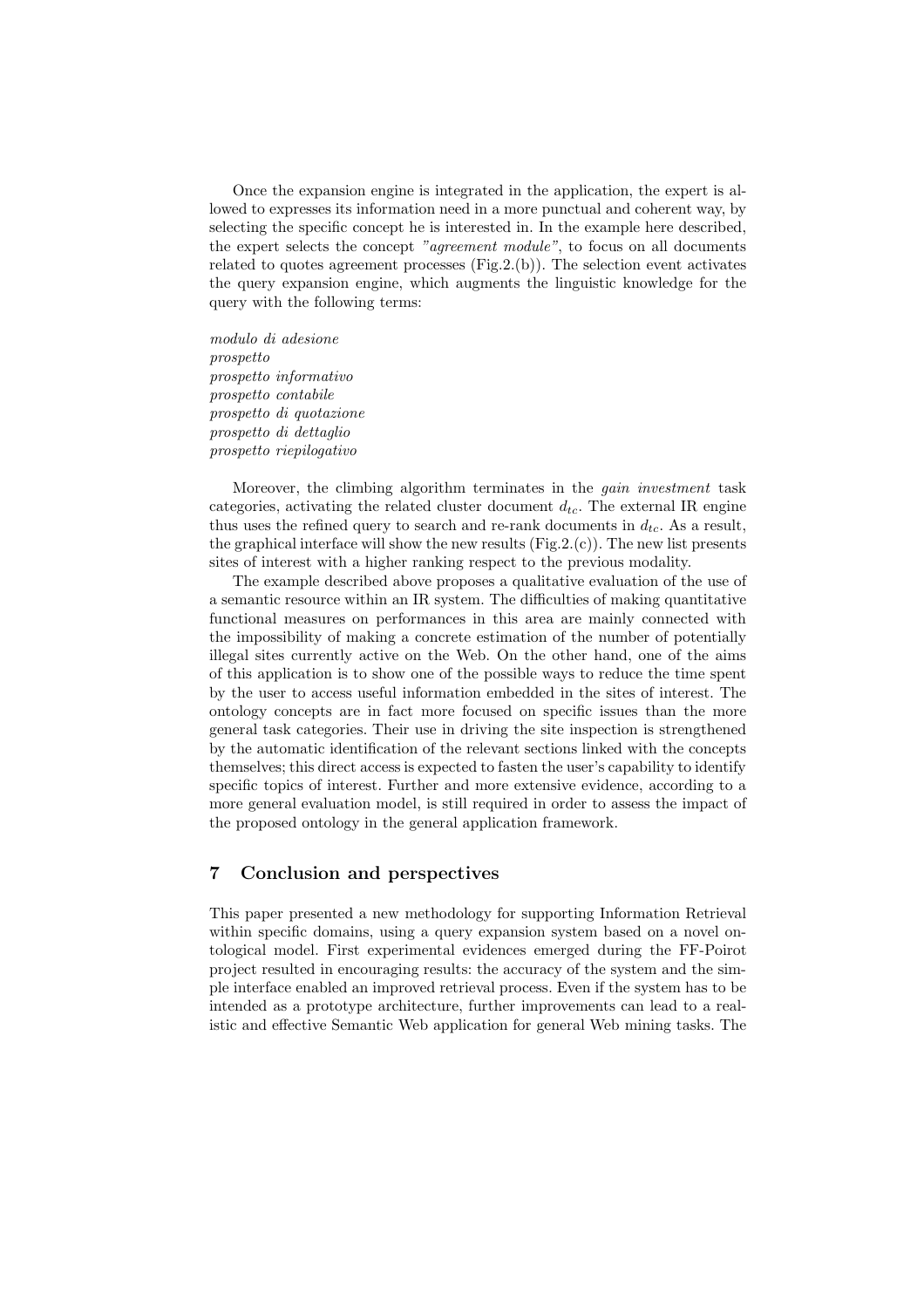Once the expansion engine is integrated in the application, the expert is allowed to expresses its information need in a more punctual and coherent way, by selecting the specific concept he is interested in. In the example here described, the expert selects the concept *"agreement module"*, to focus on all documents related to quotes agreement processes  $(Fig.2.6)$ ). The selection event activates the query expansion engine, which augments the linguistic knowledge for the query with the following terms:

*modulo di adesione prospetto prospetto informativo prospetto contabile prospetto di quotazione prospetto di dettaglio prospetto riepilogativo*

Moreover, the climbing algorithm terminates in the *gain investment* task categories, activating the related cluster document  $d_{tc}$ . The external IR engine thus uses the refined query to search and re-rank documents in *dtc*. As a result, the graphical interface will show the new results  $(Fig.2.(c))$ . The new list presents sites of interest with a higher ranking respect to the previous modality.

The example described above proposes a qualitative evaluation of the use of a semantic resource within an IR system. The difficulties of making quantitative functional measures on performances in this area are mainly connected with the impossibility of making a concrete estimation of the number of potentially illegal sites currently active on the Web. On the other hand, one of the aims of this application is to show one of the possible ways to reduce the time spent by the user to access useful information embedded in the sites of interest. The ontology concepts are in fact more focused on specific issues than the more general task categories. Their use in driving the site inspection is strengthened by the automatic identification of the relevant sections linked with the concepts themselves; this direct access is expected to fasten the user's capability to identify specific topics of interest. Further and more extensive evidence, according to a more general evaluation model, is still required in order to assess the impact of the proposed ontology in the general application framework.

## **7 Conclusion and perspectives**

This paper presented a new methodology for supporting Information Retrieval within specific domains, using a query expansion system based on a novel ontological model. First experimental evidences emerged during the FF-Poirot project resulted in encouraging results: the accuracy of the system and the simple interface enabled an improved retrieval process. Even if the system has to be intended as a prototype architecture, further improvements can lead to a realistic and effective Semantic Web application for general Web mining tasks. The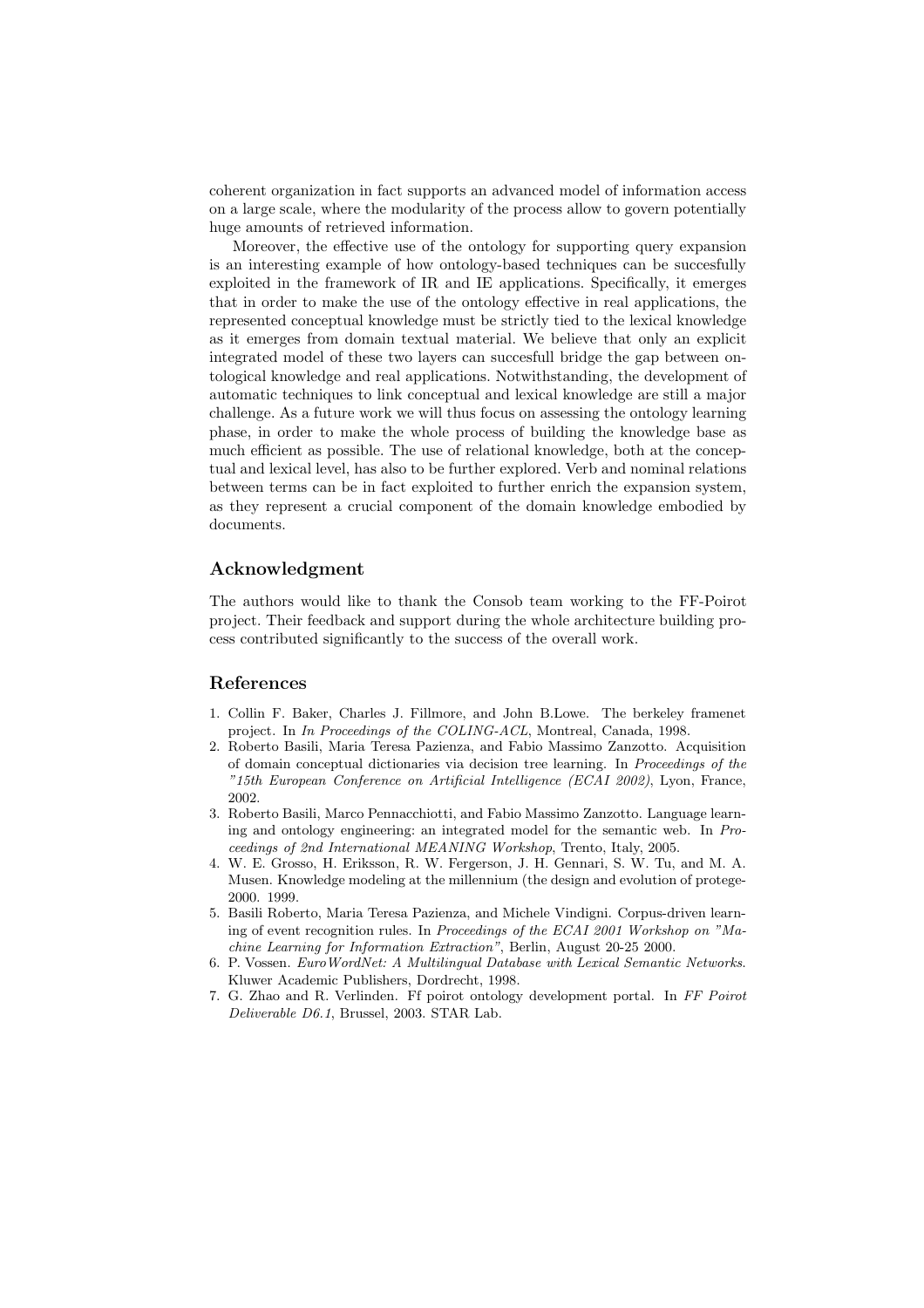coherent organization in fact supports an advanced model of information access on a large scale, where the modularity of the process allow to govern potentially huge amounts of retrieved information.

Moreover, the effective use of the ontology for supporting query expansion is an interesting example of how ontology-based techniques can be succesfully exploited in the framework of IR and IE applications. Specifically, it emerges that in order to make the use of the ontology effective in real applications, the represented conceptual knowledge must be strictly tied to the lexical knowledge as it emerges from domain textual material. We believe that only an explicit integrated model of these two layers can succesfull bridge the gap between ontological knowledge and real applications. Notwithstanding, the development of automatic techniques to link conceptual and lexical knowledge are still a major challenge. As a future work we will thus focus on assessing the ontology learning phase, in order to make the whole process of building the knowledge base as much efficient as possible. The use of relational knowledge, both at the conceptual and lexical level, has also to be further explored. Verb and nominal relations between terms can be in fact exploited to further enrich the expansion system, as they represent a crucial component of the domain knowledge embodied by documents.

### **Acknowledgment**

The authors would like to thank the Consob team working to the FF-Poirot project. Their feedback and support during the whole architecture building process contributed significantly to the success of the overall work.

### **References**

- 1. Collin F. Baker, Charles J. Fillmore, and John B.Lowe. The berkeley framenet project. In *In Proceedings of the COLING-ACL*, Montreal, Canada, 1998.
- 2. Roberto Basili, Maria Teresa Pazienza, and Fabio Massimo Zanzotto. Acquisition of domain conceptual dictionaries via decision tree learning. In *Proceedings of the "15th European Conference on Artificial Intelligence (ECAI 2002)*, Lyon, France, 2002.
- 3. Roberto Basili, Marco Pennacchiotti, and Fabio Massimo Zanzotto. Language learning and ontology engineering: an integrated model for the semantic web. In *Proceedings of 2nd International MEANING Workshop*, Trento, Italy, 2005.
- 4. W. E. Grosso, H. Eriksson, R. W. Fergerson, J. H. Gennari, S. W. Tu, and M. A. Musen. Knowledge modeling at the millennium (the design and evolution of protege-2000. 1999.
- 5. Basili Roberto, Maria Teresa Pazienza, and Michele Vindigni. Corpus-driven learning of event recognition rules. In *Proceedings of the ECAI 2001 Workshop on "Machine Learning for Information Extraction"*, Berlin, August 20-25 2000.
- 6. P. Vossen. *EuroWordNet: A Multilingual Database with Lexical Semantic Networks*. Kluwer Academic Publishers, Dordrecht, 1998.
- 7. G. Zhao and R. Verlinden. Ff poirot ontology development portal. In *FF Poirot Deliverable D6.1*, Brussel, 2003. STAR Lab.